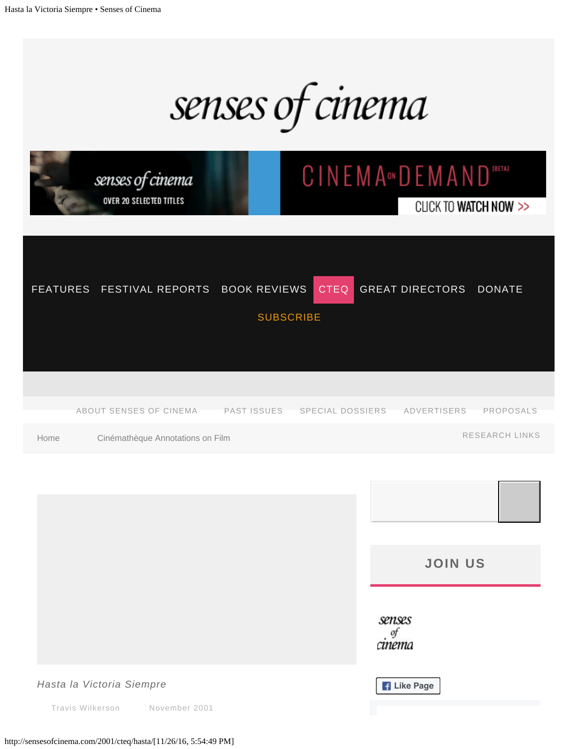senses of cinema

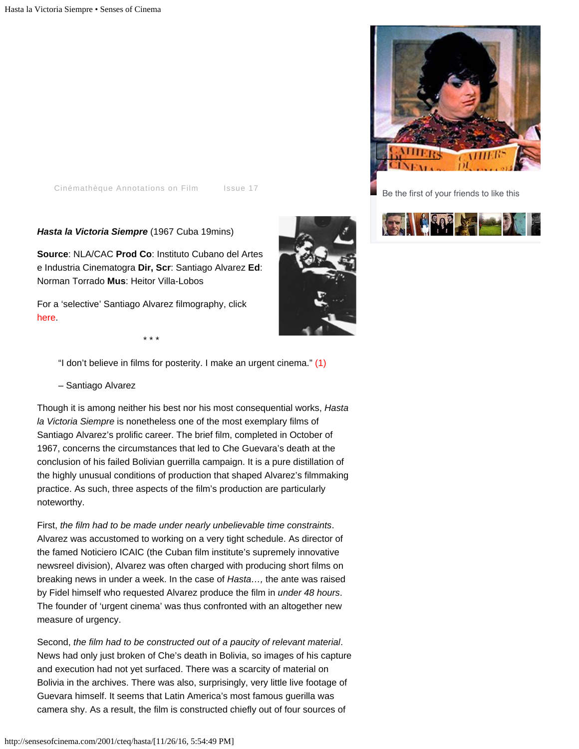Be the first of your friends to like this



[Cinémathèque Annotations on Film](http://sensesofcinema.com/category/cteq/) [Issue 17](http://sensesofcinema.com/issues/issue-17/)

*Hasta la Victoria Siempre* (1967 Cuba 19mins)

**Source**: NLA/CAC **Prod Co**: Instituto Cubano del Artes e Industria Cinematogra **Dir, Scr**: Santiago Alvarez **Ed**: Norman Torrado **Mus**: Heitor Villa-Lobos

For a 'selective' Santiago Alvarez filmography, click [here.](#page-3-0)

\* \* \*

"I don't believe in films for posterity. I make an urgent cinema." [\(1\)](#page-4-0)

– Santiago Alvarez

Though it is among neither his best nor his most consequential works, *Hasta la Victoria Siempre* is nonetheless one of the most exemplary films of Santiago Alvarez's prolific career. The brief film, completed in October of 1967, concerns the circumstances that led to Che Guevara's death at the conclusion of his failed Bolivian guerrilla campaign. It is a pure distillation of the highly unusual conditions of production that shaped Alvarez's filmmaking practice. As such, three aspects of the film's production are particularly noteworthy.

First, *the film had to be made under nearly unbelievable time constraints*. Alvarez was accustomed to working on a very tight schedule. As director of the famed Noticiero ICAIC (the Cuban film institute's supremely innovative newsreel division), Alvarez was often charged with producing short films on breaking news in under a week. In the case of *Hasta…,* the ante was raised by Fidel himself who requested Alvarez produce the film in *under 48 hours*. The founder of 'urgent cinema' was thus confronted with an altogether new measure of urgency.

Second, *the film had to be constructed out of a paucity of relevant material*. News had only just broken of Che's death in Bolivia, so images of his capture and execution had not yet surfaced. There was a scarcity of material on Bolivia in the archives. There was also, surprisingly, very little live footage of Guevara himself. It seems that Latin America's most famous guerilla was camera shy. As a result, the film is constructed chiefly out of four sources of

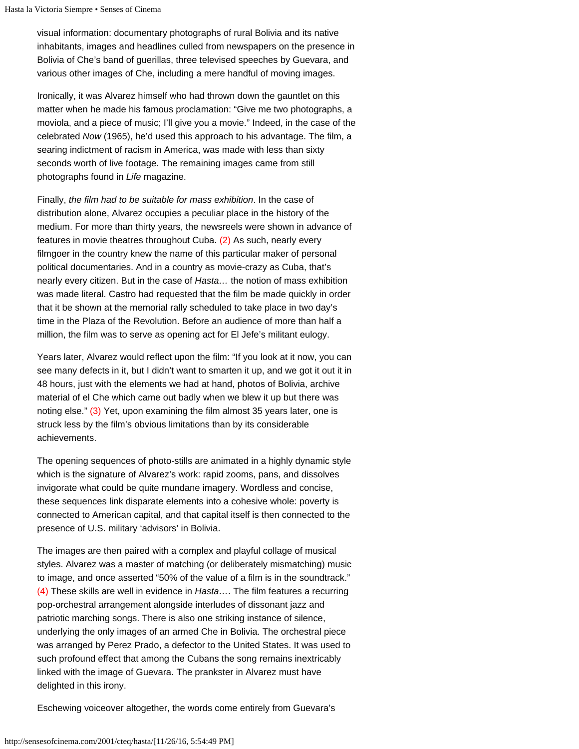visual information: documentary photographs of rural Bolivia and its native inhabitants, images and headlines culled from newspapers on the presence in Bolivia of Che's band of guerillas, three televised speeches by Guevara, and various other images of Che, including a mere handful of moving images.

Ironically, it was Alvarez himself who had thrown down the gauntlet on this matter when he made his famous proclamation: "Give me two photographs, a moviola, and a piece of music; I'll give you a movie." Indeed, in the case of the celebrated *Now* (1965), he'd used this approach to his advantage. The film, a searing indictment of racism in America, was made with less than sixty seconds worth of live footage. The remaining images came from still photographs found in *Life* magazine.

Finally, *the film had to be suitable for mass exhibition*. In the case of distribution alone, Alvarez occupies a peculiar place in the history of the medium. For more than thirty years, the newsreels were shown in advance of features in movie theatres throughout Cuba. [\(2\)](#page-4-1) As such, nearly every filmgoer in the country knew the name of this particular maker of personal political documentaries. And in a country as movie-crazy as Cuba, that's nearly every citizen. But in the case of *Hasta…* the notion of mass exhibition was made literal. Castro had requested that the film be made quickly in order that it be shown at the memorial rally scheduled to take place in two day's time in the Plaza of the Revolution. Before an audience of more than half a million, the film was to serve as opening act for El Jefe's militant eulogy.

Years later, Alvarez would reflect upon the film: "If you look at it now, you can see many defects in it, but I didn't want to smarten it up, and we got it out it in 48 hours, just with the elements we had at hand, photos of Bolivia, archive material of el Che which came out badly when we blew it up but there was noting else." [\(3\)](#page-4-2) Yet, upon examining the film almost 35 years later, one is struck less by the film's obvious limitations than by its considerable achievements.

The opening sequences of photo-stills are animated in a highly dynamic style which is the signature of Alvarez's work: rapid zooms, pans, and dissolves invigorate what could be quite mundane imagery. Wordless and concise, these sequences link disparate elements into a cohesive whole: poverty is connected to American capital, and that capital itself is then connected to the presence of U.S. military 'advisors' in Bolivia.

<span id="page-2-0"></span>The images are then paired with a complex and playful collage of musical styles. Alvarez was a master of matching (or deliberately mismatching) music to image, and once asserted "50% of the value of a film is in the soundtrack." [\(4\)](#page-4-3) These skills are well in evidence in *Hasta…*. The film features a recurring pop-orchestral arrangement alongside interludes of dissonant jazz and patriotic marching songs. There is also one striking instance of silence, underlying the only images of an armed Che in Bolivia. The orchestral piece was arranged by Perez Prado, a defector to the United States. It was used to such profound effect that among the Cubans the song remains inextricably linked with the image of Guevara. The prankster in Alvarez must have delighted in this irony.

Eschewing voiceover altogether, the words come entirely from Guevara's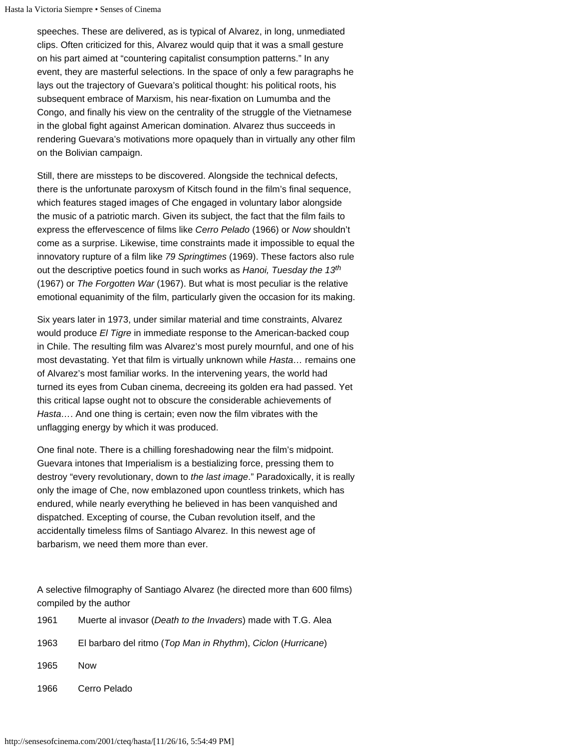speeches. These are delivered, as is typical of Alvarez, in long, unmediated clips. Often criticized for this, Alvarez would quip that it was a small gesture on his part aimed at "countering capitalist consumption patterns." In any event, they are masterful selections. In the space of only a few paragraphs he lays out the trajectory of Guevara's political thought: his political roots, his subsequent embrace of Marxism, his near-fixation on Lumumba and the Congo, and finally his view on the centrality of the struggle of the Vietnamese in the global fight against American domination. Alvarez thus succeeds in rendering Guevara's motivations more opaquely than in virtually any other film on the Bolivian campaign.

Still, there are missteps to be discovered. Alongside the technical defects, there is the unfortunate paroxysm of Kitsch found in the film's final sequence, which features staged images of Che engaged in voluntary labor alongside the music of a patriotic march. Given its subject, the fact that the film fails to express the effervescence of films like *Cerro Pelado* (1966) or *Now* shouldn't come as a surprise. Likewise, time constraints made it impossible to equal the innovatory rupture of a film like *79 Springtimes* (1969). These factors also rule out the descriptive poetics found in such works as *Hanoi, Tuesday the 13 th*(1967) or *The Forgotten War* (1967). But what is most peculiar is the relative emotional equanimity of the film, particularly given the occasion for its making.

Six years later in 1973, under similar material and time constraints, Alvarez would produce *El Tigre* in immediate response to the American-backed coup in Chile. The resulting film was Alvarez's most purely mournful, and one of his most devastating. Yet that film is virtually unknown while *Hasta…* remains one of Alvarez's most familiar works. In the intervening years, the world had turned its eyes from Cuban cinema, decreeing its golden era had passed. Yet this critical lapse ought not to obscure the considerable achievements of *Hasta…*. And one thing is certain; even now the film vibrates with the unflagging energy by which it was produced.

One final note. There is a chilling foreshadowing near the film's midpoint. Guevara intones that Imperialism is a bestializing force, pressing them to destroy "every revolutionary, down to *the last image*." Paradoxically, it is really only the image of Che, now emblazoned upon countless trinkets, which has endured, while nearly everything he believed in has been vanquished and dispatched. Excepting of course, the Cuban revolution itself, and the accidentally timeless films of Santiago Alvarez. In this newest age of barbarism, we need them more than ever.

<span id="page-3-0"></span>A selective filmography of Santiago Alvarez (he directed more than 600 films) compiled by the author

| 1961 | Muerte al invasor ( <i>Death to the Invaders</i> ) made with T.G. Alea |
|------|------------------------------------------------------------------------|
| 1963 | El barbaro del ritmo (Top Man in Rhythm), Ciclon (Hurricane)           |
| 1965 | <b>Now</b>                                                             |
| 1966 | Cerro Pelado                                                           |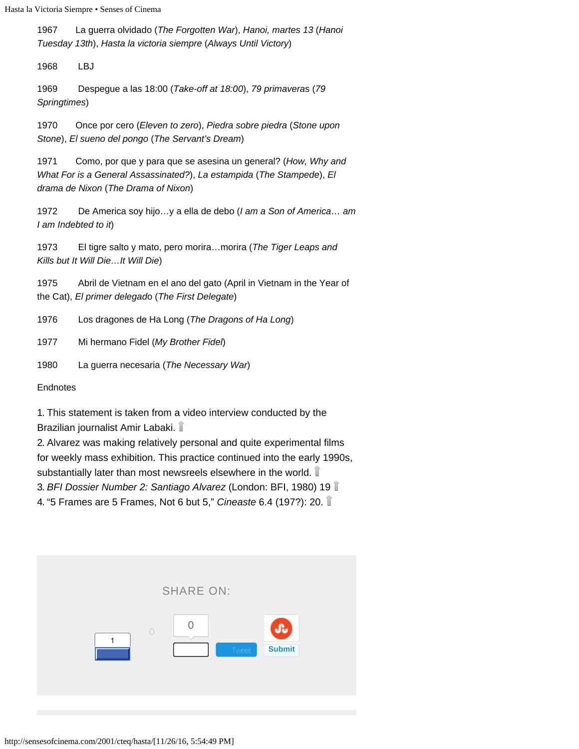1967 La guerra olvidado (*The Forgotten War*), *Hanoi, martes 13* (*Hanoi Tuesday 13th*), *Hasta la victoria siempre* (*Always Until Victory*)

1968 LBJ

1969 Despegue a las 18:00 (*Take-off at 18:00*), *79 primavera*s (*79 Springtimes*)

1970 Once por cero (*Eleven to zero*), *Piedra sobre piedra* (*Stone upon Stone*), *El sueno del pongo* (*The Servant's Dream*)

1971 Como, por que y para que se asesina un general? (*How, Why and What For is a General Assassinated?*), *La estampida* (*The Stampede*), *El drama de Nixon* (*The Drama of Nixon*)

1972 De America soy hijo…y a ella de debo (*I am a Son of America… am I am Indebted to it*)

1973 El tigre salto y mato, pero morira…morira (*The Tiger Leaps and Kills but It Will Die…It Will Die*)

1975 Abril de Vietnam en el ano del gato (April in Vietnam in the Year of the Cat), *El primer delegad*o (*The First Delegate*)

1976 Los dragones de Ha Long (*The Dragons of Ha Long*)

1977 Mi hermano Fidel (*My Brother Fidel*)

1980 La guerra necesaria (*The Necessary War*)

**Endnotes** 

<span id="page-4-0"></span>1. This statement is taken from a video interview conducted by the Brazilian journalist Amir Labaki.

<span id="page-4-1"></span>2. Alvarez was making relatively personal and quite experimental films for weekly mass exhibition. This practice continued into the early 1990s, substantially later than most newsreels elsewhere in the world.

<span id="page-4-2"></span>3. *BFI Dossier Number 2: Santiago Alvarez* (London: BFI, 1980) 19

<span id="page-4-3"></span>4. "5 Frames are 5 Frames, Not 6 but 5," *Cineaste* 6.4 (197?): 20.

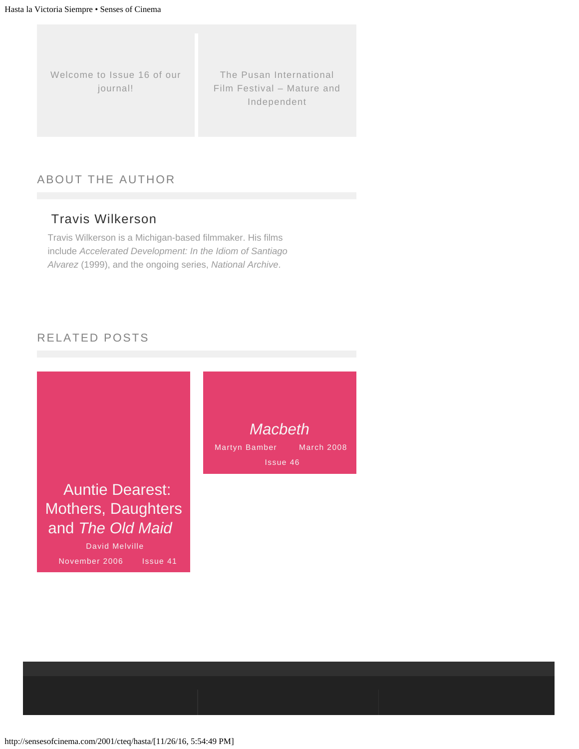[Welcome to Issue 16 of our](http://sensesofcinema.com/2001/editorial/16index/) [journal!](http://sensesofcinema.com/2001/editorial/16index/)

[The Pusan International](http://sensesofcinema.com/2001/festival-reports/pusan/) [Film Festival – Mature and](http://sensesofcinema.com/2001/festival-reports/pusan/) [Independent](http://sensesofcinema.com/2001/festival-reports/pusan/)

## ABOUT THE AUTHOR

## [Travis Wilkerson](http://sensesofcinema.com/author/travis-wilkerson/)

Travis Wilkerson is a Michigan-based filmmaker. His films include *Accelerated Development: In the Idiom of Santiago Alvarez* (1999), and the ongoing series, *National Archive*.

## RELATED POSTS